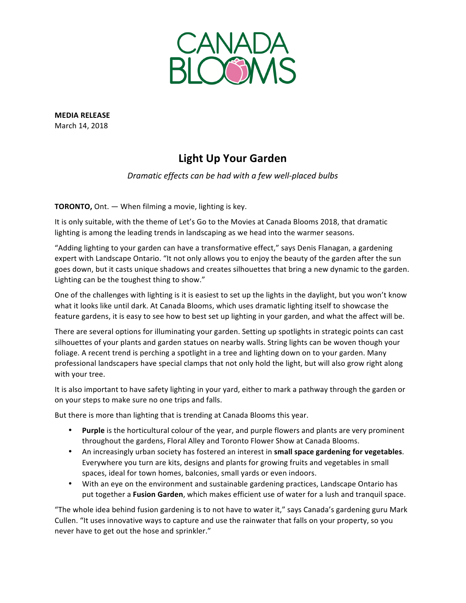

**MEDIA RELEASE** March 14, 2018

## **Light Up Your Garden**

*Dramatic effects can be had with a few well-placed bulbs*

**TORONTO,** Ont. — When filming a movie, lighting is key.

It is only suitable, with the theme of Let's Go to the Movies at Canada Blooms 2018, that dramatic lighting is among the leading trends in landscaping as we head into the warmer seasons.

"Adding lighting to your garden can have a transformative effect," says Denis Flanagan, a gardening expert with Landscape Ontario. "It not only allows you to enjoy the beauty of the garden after the sun goes down, but it casts unique shadows and creates silhouettes that bring a new dynamic to the garden. Lighting can be the toughest thing to show."

One of the challenges with lighting is it is easiest to set up the lights in the daylight, but you won't know what it looks like until dark. At Canada Blooms, which uses dramatic lighting itself to showcase the feature gardens, it is easy to see how to best set up lighting in your garden, and what the affect will be.

There are several options for illuminating your garden. Setting up spotlights in strategic points can cast silhouettes of your plants and garden statues on nearby walls. String lights can be woven though your foliage. A recent trend is perching a spotlight in a tree and lighting down on to your garden. Many professional landscapers have special clamps that not only hold the light, but will also grow right along with your tree.

It is also important to have safety lighting in your yard, either to mark a pathway through the garden or on your steps to make sure no one trips and falls.

But there is more than lighting that is trending at Canada Blooms this year.

- Purple is the horticultural colour of the year, and purple flowers and plants are very prominent throughout the gardens, Floral Alley and Toronto Flower Show at Canada Blooms.
- An increasingly urban society has fostered an interest in **small space gardening for vegetables**. Everywhere you turn are kits, designs and plants for growing fruits and vegetables in small spaces, ideal for town homes, balconies, small yards or even indoors.
- With an eye on the environment and sustainable gardening practices, Landscape Ontario has put together a Fusion Garden, which makes efficient use of water for a lush and tranquil space.

"The whole idea behind fusion gardening is to not have to water it," says Canada's gardening guru Mark Cullen. "It uses innovative ways to capture and use the rainwater that falls on your property, so you never have to get out the hose and sprinkler."